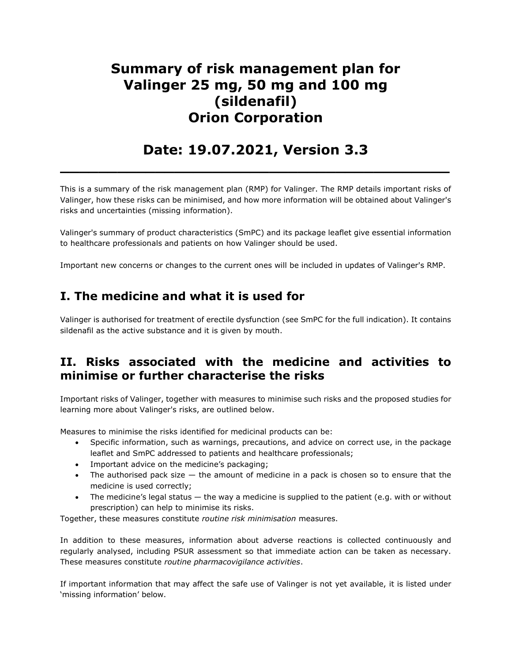# Summary of risk management plan for Valinger 25 mg, 50 mg and 100 mg (sildenafil) Orion Corporation

## Date: 19.07.2021, Version 3.3

 $\overline{\phantom{a}}$  , and the contract of the contract of the contract of the contract of the contract of the contract of the contract of the contract of the contract of the contract of the contract of the contract of the contrac

This is a summary of the risk management plan (RMP) for Valinger. The RMP details important risks of Valinger, how these risks can be minimised, and how more information will be obtained about Valinger's risks and uncertainties (missing information).

Valinger's summary of product characteristics (SmPC) and its package leaflet give essential information to healthcare professionals and patients on how Valinger should be used.

Important new concerns or changes to the current ones will be included in updates of Valinger's RMP.

## I. The medicine and what it is used for

Valinger is authorised for treatment of erectile dysfunction (see SmPC for the full indication). It contains sildenafil as the active substance and it is given by mouth.

## II. Risks associated with the medicine and activities to minimise or further characterise the risks

Important risks of Valinger, together with measures to minimise such risks and the proposed studies for learning more about Valinger's risks, are outlined below.

Measures to minimise the risks identified for medicinal products can be:

- Specific information, such as warnings, precautions, and advice on correct use, in the package leaflet and SmPC addressed to patients and healthcare professionals;
- Important advice on the medicine's packaging;
- $\bullet$  The authorised pack size  $-$  the amount of medicine in a pack is chosen so to ensure that the medicine is used correctly;
- The medicine's legal status the way a medicine is supplied to the patient (e.g. with or without prescription) can help to minimise its risks.

Together, these measures constitute routine risk minimisation measures.

In addition to these measures, information about adverse reactions is collected continuously and regularly analysed, including PSUR assessment so that immediate action can be taken as necessary. These measures constitute routine pharmacovigilance activities.

If important information that may affect the safe use of Valinger is not yet available, it is listed under 'missing information' below.